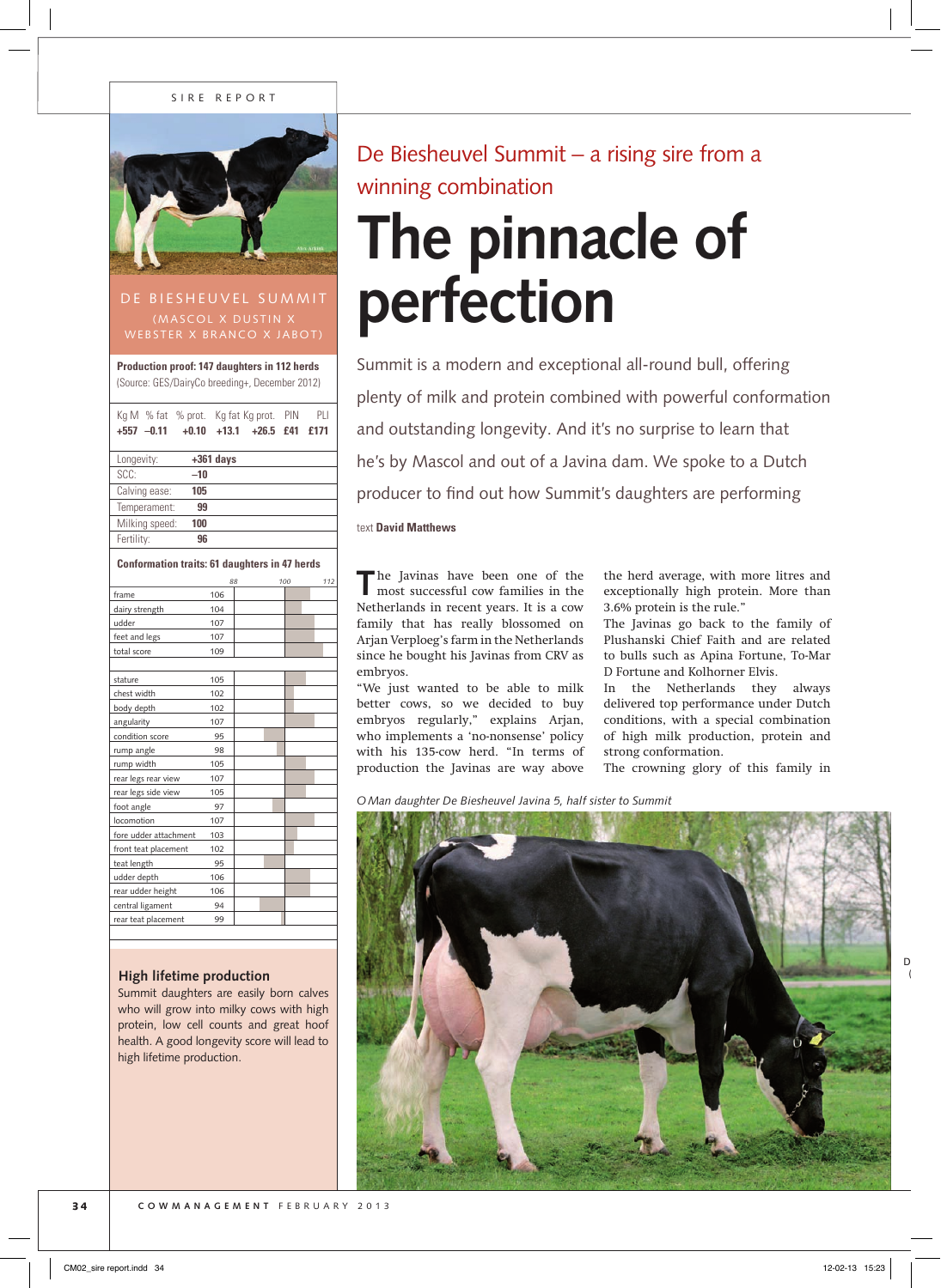#### S IRE REPORT



## DE BIESHEUVEL SUMMIT (MASCOL X DUSTIN X WEBSTER X BRANCO X JABOT)

**Production proof: 147 daughters in 112 herds** (Source: GES/DairyCo breeding+, December 2012)

| Kg M % fat % prot. Kg fat Kg prot.                   |       |             |             | PIN | PLI  |  |  |  |
|------------------------------------------------------|-------|-------------|-------------|-----|------|--|--|--|
| $+557$ $-0.11$ $+0.10$                               |       | $+13.1$     | $+26.5$ £41 |     | £171 |  |  |  |
|                                                      |       |             |             |     |      |  |  |  |
| Longevity:                                           |       | $+361$ days |             |     |      |  |  |  |
| SCC:                                                 | $-10$ |             |             |     |      |  |  |  |
| Calving ease:                                        | 105   |             |             |     |      |  |  |  |
| Temperament:                                         | 99    |             |             |     |      |  |  |  |
| Milking speed:                                       | 100   |             |             |     |      |  |  |  |
| Fertility:                                           | 96    |             |             |     |      |  |  |  |
|                                                      |       |             |             |     |      |  |  |  |
| <b>Conformation traits: 61 daughters in 47 herds</b> |       |             |             |     |      |  |  |  |
|                                                      |       | 88          |             | 100 | 112  |  |  |  |
| frame                                                |       | 106         |             |     |      |  |  |  |
| dairy strength                                       |       | 104         |             |     |      |  |  |  |
| udder                                                |       | 107         |             |     |      |  |  |  |
| feet and legs                                        |       | 107         |             |     |      |  |  |  |
| total score                                          |       | 109         |             |     |      |  |  |  |
|                                                      |       |             |             |     |      |  |  |  |

| stature               | 105 |  |  |
|-----------------------|-----|--|--|
| chest width           | 102 |  |  |
| body depth            | 102 |  |  |
| angularity            | 107 |  |  |
| condition score       | 95  |  |  |
| rump angle            | 98  |  |  |
| rump width            | 105 |  |  |
| rear legs rear view   | 107 |  |  |
| rear legs side view   | 105 |  |  |
| foot angle            | 97  |  |  |
| locomotion            | 107 |  |  |
| fore udder attachment | 103 |  |  |
| front teat placement  | 102 |  |  |
| teat length           | 95  |  |  |
| udder depth           | 106 |  |  |
| rear udder height     | 106 |  |  |
| central ligament      | 94  |  |  |
| rear teat placement   | 99  |  |  |
|                       |     |  |  |

### **High lifetime production**

Summit daughters are easily born calves who will grow into milky cows with high protein, low cell counts and great hoof health. A good longevity score will lead to high lifetime production.

De Biesheuvel Summit – a rising sire from a winning combination

# **The pinnacle of perfection**

Summit is a modern and exceptional all-round bull, offering plenty of milk and protein combined with powerful conformation and outstanding longevity. And it's no surprise to learn that he's by Mascol and out of a Javina dam. We spoke to a Dutch producer to find out how Summit's daughters are performing

text **David Matthews**

**T**he Javinas have been one of the most successful cow families in the Netherlands in recent years. It is a cow family that has really blossomed on Arjan Verploeg's farm in the Netherlands since he bought his Javinas from CRV as embryos.

"We just wanted to be able to milk better cows, so we decided to buy embryos regularly," explains Arjan, who implements a 'no-nonsense' policy with his 135-cow herd. "In terms of production the Javinas are way above

the herd average, with more litres and exceptionally high protein. More than 3.6% protein is the rule."

The Javinas go back to the family of Plushanski Chief Faith and are related to bulls such as Apina Fortune, To-Mar D Fortune and Kolhorner Elvis.

In the Netherlands they always delivered top performance under Dutch conditions, with a special combination of high milk production, protein and strong conformation.

The crowning glory of this family in

*OMan daughter De Biesheuvel Javina 5, half sister to Summit*